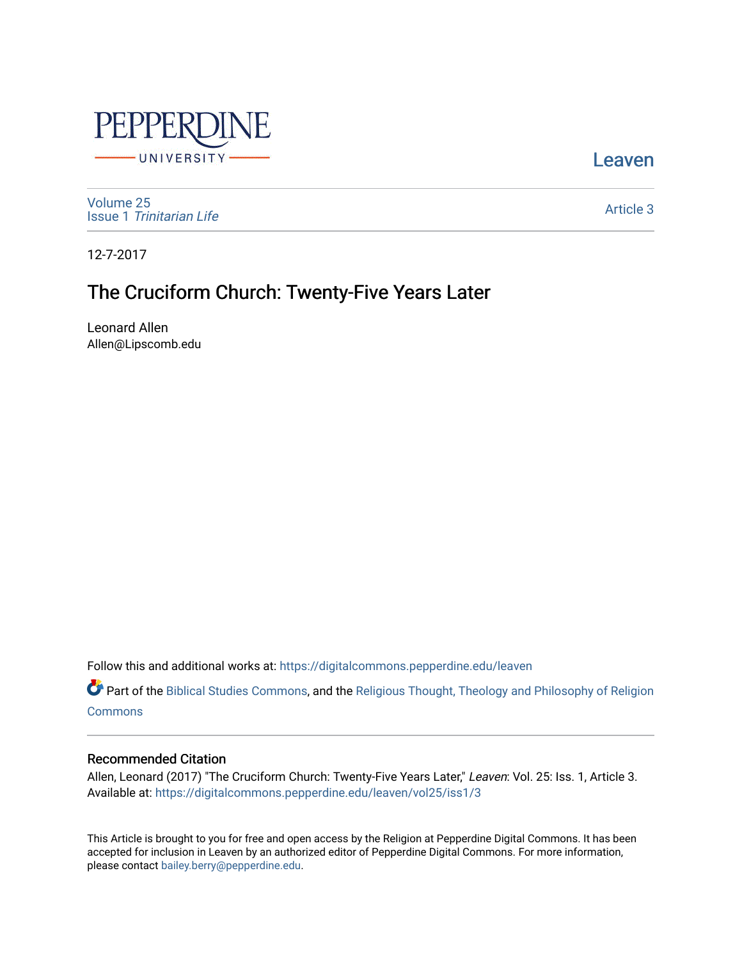

**Leaven** 

[Volume 25](https://digitalcommons.pepperdine.edu/leaven/vol25) Issue 1 [Trinitarian Life](https://digitalcommons.pepperdine.edu/leaven/vol25/iss1) 

[Article 3](https://digitalcommons.pepperdine.edu/leaven/vol25/iss1/3) 

12-7-2017

## The Cruciform Church: Twenty-Five Years Later

Leonard Allen Allen@Lipscomb.edu

Follow this and additional works at: [https://digitalcommons.pepperdine.edu/leaven](https://digitalcommons.pepperdine.edu/leaven?utm_source=digitalcommons.pepperdine.edu%2Fleaven%2Fvol25%2Fiss1%2F3&utm_medium=PDF&utm_campaign=PDFCoverPages)

Part of the [Biblical Studies Commons,](http://network.bepress.com/hgg/discipline/539?utm_source=digitalcommons.pepperdine.edu%2Fleaven%2Fvol25%2Fiss1%2F3&utm_medium=PDF&utm_campaign=PDFCoverPages) and the [Religious Thought, Theology and Philosophy of Religion](http://network.bepress.com/hgg/discipline/544?utm_source=digitalcommons.pepperdine.edu%2Fleaven%2Fvol25%2Fiss1%2F3&utm_medium=PDF&utm_campaign=PDFCoverPages)  **[Commons](http://network.bepress.com/hgg/discipline/544?utm_source=digitalcommons.pepperdine.edu%2Fleaven%2Fvol25%2Fiss1%2F3&utm_medium=PDF&utm_campaign=PDFCoverPages)** 

## Recommended Citation

Allen, Leonard (2017) "The Cruciform Church: Twenty-Five Years Later," Leaven: Vol. 25: Iss. 1, Article 3. Available at: [https://digitalcommons.pepperdine.edu/leaven/vol25/iss1/3](https://digitalcommons.pepperdine.edu/leaven/vol25/iss1/3?utm_source=digitalcommons.pepperdine.edu%2Fleaven%2Fvol25%2Fiss1%2F3&utm_medium=PDF&utm_campaign=PDFCoverPages)

This Article is brought to you for free and open access by the Religion at Pepperdine Digital Commons. It has been accepted for inclusion in Leaven by an authorized editor of Pepperdine Digital Commons. For more information, please contact [bailey.berry@pepperdine.edu](mailto:bailey.berry@pepperdine.edu).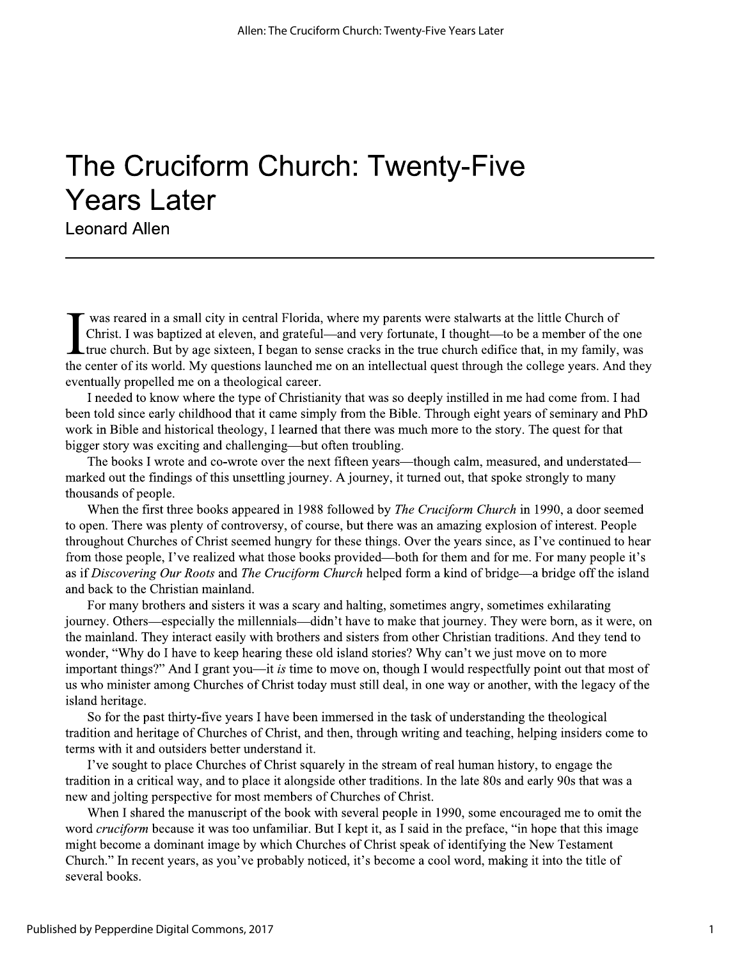## The Cruciform Church: Twenty-Five **Years Later**

**Leonard Allen** 

was reared in a small city in central Florida, where my parents were stalwarts at the little Church of Christ. I was baptized at eleven, and grateful—and very fortunate, I thought—to be a member of the one **Let true** church. But by age sixteen, I began to sense cracks in the true church edifice that, in my family, was the center of its world. My questions launched me on an intellectual quest through the college years. And they eventually propelled me on a theological career.

I needed to know where the type of Christianity that was so deeply instilled in me had come from. I had been told since early childhood that it came simply from the Bible. Through eight years of seminary and PhD work in Bible and historical theology, I learned that there was much more to the story. The quest for that bigger story was exciting and challenging—but often troubling.

The books I wrote and co-wrote over the next fifteen years—though calm, measured, and understated marked out the findings of this unsettling journey. A journey, it turned out, that spoke strongly to many thousands of people.

When the first three books appeared in 1988 followed by *The Cruciform Church* in 1990, a door seemed to open. There was plenty of controversy, of course, but there was an amazing explosion of interest. People throughout Churches of Christ seemed hungry for these things. Over the years since, as I've continued to hear from those people, I've realized what those books provided—both for them and for me. For many people it's as if Discovering Our Roots and The Cruciform Church helped form a kind of bridge—a bridge off the island and back to the Christian mainland.

For many brothers and sisters it was a scary and halting, sometimes angry, sometimes exhilarating journey. Others—especially the millennials—didn't have to make that journey. They were born, as it were, on the mainland. They interact easily with brothers and sisters from other Christian traditions. And they tend to wonder, "Why do I have to keep hearing these old island stories? Why can't we just move on to more important things?" And I grant you—it is time to move on, though I would respectfully point out that most of us who minister among Churches of Christ today must still deal, in one way or another, with the legacy of the island heritage.

So for the past thirty-five years I have been immersed in the task of understanding the theological tradition and heritage of Churches of Christ, and then, through writing and teaching, helping insiders come to terms with it and outsiders better understand it.

I've sought to place Churches of Christ squarely in the stream of real human history, to engage the tradition in a critical way, and to place it alongside other traditions. In the late 80s and early 90s that was a new and jolting perspective for most members of Churches of Christ.

When I shared the manuscript of the book with several people in 1990, some encouraged me to omit the word cruciform because it was too unfamiliar. But I kept it, as I said in the preface, "in hope that this image might become a dominant image by which Churches of Christ speak of identifying the New Testament Church." In recent years, as you've probably noticed, it's become a cool word, making it into the title of several books.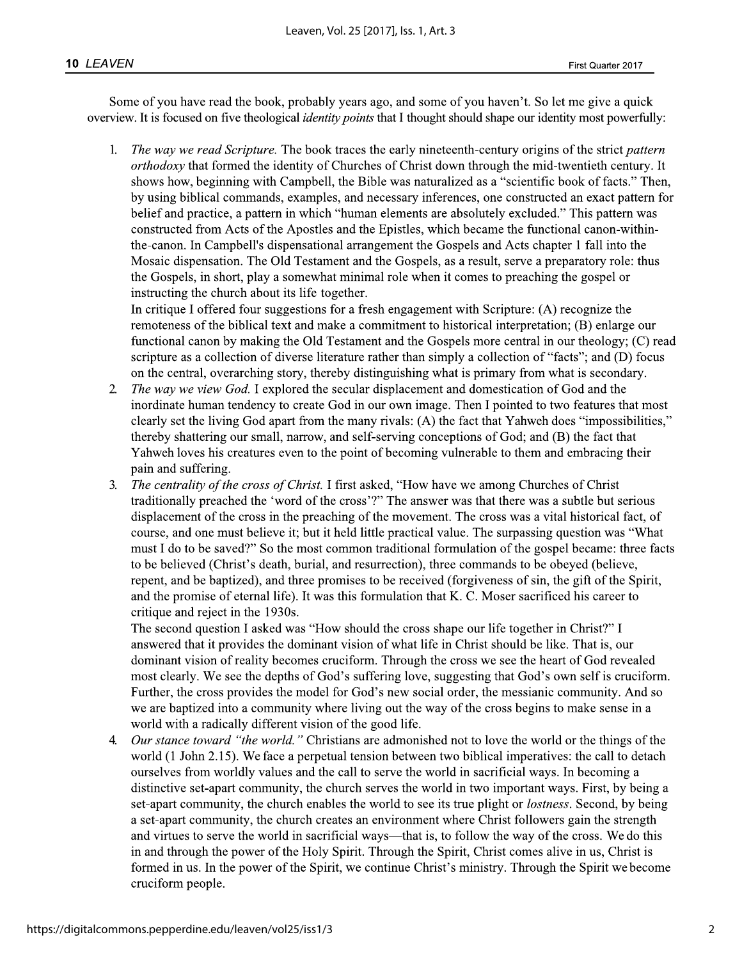Some of you have read the book, probably years ago, and some of you haven't. So let me give a quick overview. It is focused on five theological *identity points* that I thought should shape our identity most powerfully:

The way we read Scripture. The book traces the early nineteenth-century origins of the strict pattern 1. orthodoxy that formed the identity of Churches of Christ down through the mid-twentieth century. It shows how, beginning with Campbell, the Bible was naturalized as a "scientific book of facts." Then, by using biblical commands, examples, and necessary inferences, one constructed an exact pattern for belief and practice, a pattern in which "human elements are absolutely excluded." This pattern was constructed from Acts of the Apostles and the Epistles, which became the functional canon-withinthe-canon. In Campbell's dispensational arrangement the Gospels and Acts chapter 1 fall into the Mosaic dispensation. The Old Testament and the Gospels, as a result, serve a preparatory role: thus the Gospels, in short, play a somewhat minimal role when it comes to preaching the gospel or instructing the church about its life together.

In critique I offered four suggestions for a fresh engagement with Scripture: (A) recognize the remoteness of the biblical text and make a commitment to historical interpretation; (B) enlarge our functional canon by making the Old Testament and the Gospels more central in our theology; (C) read scripture as a collection of diverse literature rather than simply a collection of "facts"; and (D) focus on the central, overarching story, thereby distinguishing what is primary from what is secondary.

- The way we view God. I explored the secular displacement and domestication of God and the  $\overline{2}$ inordinate human tendency to create God in our own image. Then I pointed to two features that most clearly set the living God apart from the many rivals: (A) the fact that Yahweh does "impossibilities," thereby shattering our small, narrow, and self-serving conceptions of God; and (B) the fact that Yahweh loves his creatures even to the point of becoming vulnerable to them and embracing their pain and suffering.
- The centrality of the cross of Christ. I first asked, "How have we among Churches of Christ 3. traditionally preached the 'word of the cross'?" The answer was that there was a subtle but serious displacement of the cross in the preaching of the movement. The cross was a vital historical fact, of course, and one must believe it; but it held little practical value. The surpassing question was "What must I do to be saved?" So the most common traditional formulation of the gospel became: three facts to be believed (Christ's death, burial, and resurrection), three commands to be obeyed (believe, repent, and be baptized), and three promises to be received (forgiveness of sin, the gift of the Spirit, and the promise of eternal life). It was this formulation that K. C. Moser sacrificed his career to critique and reject in the 1930s.

The second question I asked was "How should the cross shape our life together in Christ?" I answered that it provides the dominant vision of what life in Christ should be like. That is, our dominant vision of reality becomes cruciform. Through the cross we see the heart of God revealed most clearly. We see the depths of God's suffering love, suggesting that God's own self is cruciform. Further, the cross provides the model for God's new social order, the messianic community. And so we are baptized into a community where living out the way of the cross begins to make sense in a world with a radically different vision of the good life.

Our stance toward "the world." Christians are admonished not to love the world or the things of the 4. world (1 John 2.15). We face a perpetual tension between two biblical imperatives: the call to detach ourselves from worldly values and the call to serve the world in sacrificial ways. In becoming a distinctive set-apart community, the church serves the world in two important ways. First, by being a set-apart community, the church enables the world to see its true plight or *lostness*. Second, by being a set-apart community, the church creates an environment where Christ followers gain the strength and virtues to serve the world in sacrificial ways—that is, to follow the way of the cross. We do this in and through the power of the Holy Spirit. Through the Spirit, Christ comes alive in us, Christ is formed in us. In the power of the Spirit, we continue Christ's ministry. Through the Spirit we become cruciform people.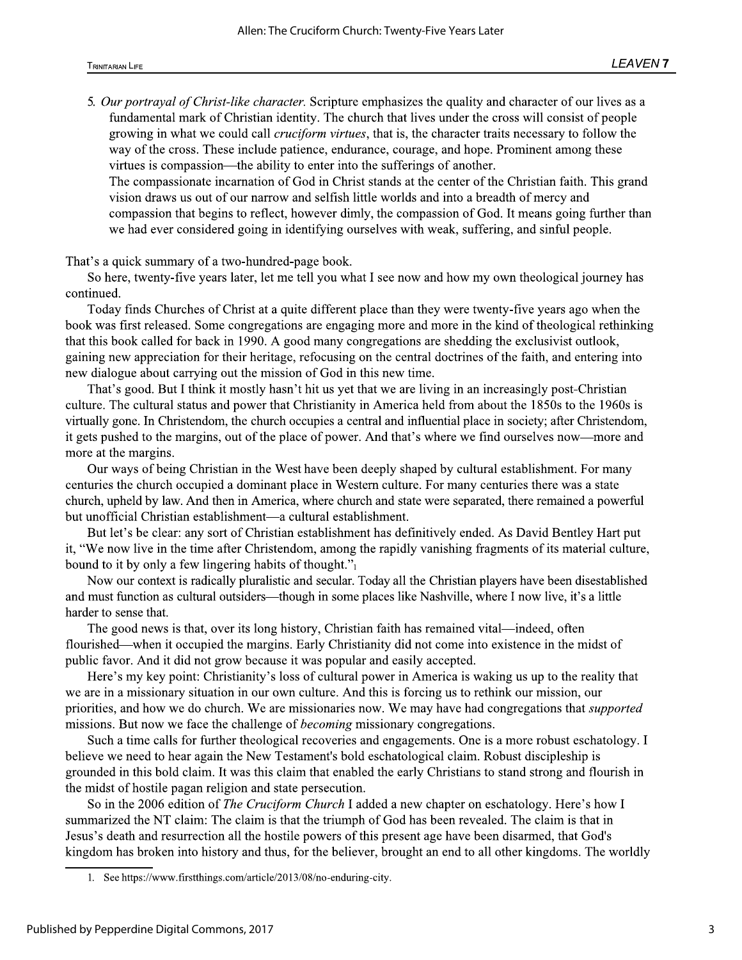5. Our portrayal of Christ-like character. Scripture emphasizes the quality and character of our lives as a fundamental mark of Christian identity. The church that lives under the cross will consist of people growing in what we could call *cruciform virtues*, that is, the character traits necessary to follow the way of the cross. These include patience, endurance, courage, and hope. Prominent among these virtues is compassion—the ability to enter into the sufferings of another.

The compassionate incarnation of God in Christ stands at the center of the Christian faith. This grand vision draws us out of our narrow and selfish little worlds and into a breadth of mercy and compassion that begins to reflect, however dimly, the compassion of God. It means going further than we had ever considered going in identifying ourselves with weak, suffering, and sinful people.

That's a quick summary of a two-hundred-page book.

So here, twenty-five years later, let me tell you what I see now and how my own theological journey has continued.

Today finds Churches of Christ at a quite different place than they were twenty-five years ago when the book was first released. Some congregations are engaging more and more in the kind of theological rethinking that this book called for back in 1990. A good many congregations are shedding the exclusivist outlook, gaining new appreciation for their heritage, refocusing on the central doctrines of the faith, and entering into new dialogue about carrying out the mission of God in this new time.

That's good. But I think it mostly hasn't hit us yet that we are living in an increasingly post-Christian culture. The cultural status and power that Christianity in America held from about the 1850s to the 1960s is virtually gone. In Christendom, the church occupies a central and influential place in society; after Christendom, it gets pushed to the margins, out of the place of power. And that's where we find ourselves now—more and more at the margins.

Our ways of being Christian in the West have been deeply shaped by cultural establishment. For many centuries the church occupied a dominant place in Western culture. For many centuries there was a state church, upheld by law. And then in America, where church and state were separated, there remained a powerful but unofficial Christian establishment—a cultural establishment.

But let's be clear: any sort of Christian establishment has definitively ended. As David Bentley Hart put it, "We now live in the time after Christendom, among the rapidly vanishing fragments of its material culture, bound to it by only a few lingering habits of thought." $_1$ 

Now our context is radically pluralistic and secular. Today all the Christian players have been disestablished and must function as cultural outsiders—though in some places like Nashville, where I now live, it's a little harder to sense that.

The good news is that, over its long history, Christian faith has remained vital—indeed, often flourished—when it occupied the margins. Early Christianity did not come into existence in the midst of public favor. And it did not grow because it was popular and easily accepted.

Here's my key point: Christianity's loss of cultural power in America is waking us up to the reality that we are in a missionary situation in our own culture. And this is forcing us to rethink our mission, our priorities, and how we do church. We are missionaries now. We may have had congregations that *supported* missions. But now we face the challenge of *becoming* missionary congregations.

Such a time calls for further theological recoveries and engagements. One is a more robust eschatology. I believe we need to hear again the New Testament's bold eschatological claim. Robust discipleship is grounded in this bold claim. It was this claim that enabled the early Christians to stand strong and flourish in the midst of hostile pagan religion and state persecution.

So in the 2006 edition of The Cruciform Church I added a new chapter on eschatology. Here's how I summarized the NT claim: The claim is that the triumph of God has been revealed. The claim is that in Jesus's death and resurrection all the hostile powers of this present age have been disarmed, that God's kingdom has broken into history and thus, for the believer, brought an end to all other kingdoms. The worldly

<sup>1.</sup> See https://www.firstthings.com/article/2013/08/no-enduring-city.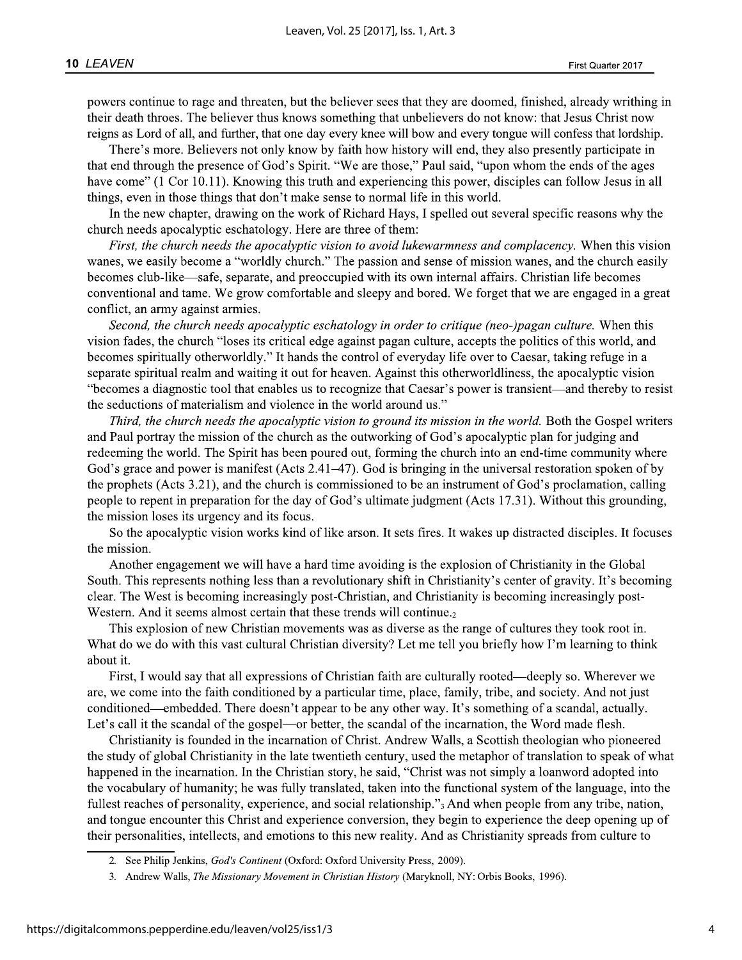powers continue to rage and threaten, but the believer sees that they are doomed, finished, already writhing in their death throes. The believer thus knows something that unbelievers do not know: that Jesus Christ now reigns as Lord of all, and further, that one day every knee will bow and every tongue will confess that lordship.

There's more. Believers not only know by faith how history will end, they also presently participate in that end through the presence of God's Spirit. "We are those," Paul said, "upon whom the ends of the ages have come" (1 Cor 10.11). Knowing this truth and experiencing this power, disciples can follow Jesus in all things, even in those things that don't make sense to normal life in this world.

In the new chapter, drawing on the work of Richard Hays, I spelled out several specific reasons why the church needs apocalyptic eschatology. Here are three of them:

First, the church needs the apocalyptic vision to avoid lukewarmness and complacency. When this vision wanes, we easily become a "worldly church." The passion and sense of mission wanes, and the church easily becomes club-like—safe, separate, and preoccupied with its own internal affairs. Christian life becomes conventional and tame. We grow comfortable and sleepy and bored. We forget that we are engaged in a great conflict, an army against armies.

Second, the church needs apocalyptic eschatology in order to critique (neo-)pagan culture. When this vision fades, the church "loses its critical edge against pagan culture, accepts the politics of this world, and becomes spiritually otherworldly." It hands the control of everyday life over to Caesar, taking refuge in a separate spiritual realm and waiting it out for heaven. Against this otherworldliness, the apocalyptic vision "becomes a diagnostic tool that enables us to recognize that Caesar's power is transient—and thereby to resist the seductions of materialism and violence in the world around us."

Third, the church needs the apocalyptic vision to ground its mission in the world. Both the Gospel writers and Paul portray the mission of the church as the outworking of God's apocalyptic plan for judging and redeeming the world. The Spirit has been poured out, forming the church into an end-time community where God's grace and power is manifest (Acts  $2.41-47$ ). God is bringing in the universal restoration spoken of by the prophets (Acts 3.21), and the church is commissioned to be an instrument of God's proclamation, calling people to repent in preparation for the day of God's ultimate judgment (Acts 17.31). Without this grounding, the mission loses its urgency and its focus.

So the apocalyptic vision works kind of like arson. It sets fires. It wakes up distracted disciples. It focuses the mission.

Another engagement we will have a hard time avoiding is the explosion of Christianity in the Global South. This represents nothing less than a revolutionary shift in Christianity's center of gravity. It's becoming clear. The West is becoming increasingly post-Christian, and Christianity is becoming increasingly post-Western. And it seems almost certain that these trends will continue.

This explosion of new Christian movements was as diverse as the range of cultures they took root in. What do we do with this vast cultural Christian diversity? Let me tell you briefly how I'm learning to think about it.

First, I would say that all expressions of Christian faith are culturally rooted—deeply so. Wherever we are, we come into the faith conditioned by a particular time, place, family, tribe, and society. And not just conditioned—embedded. There doesn't appear to be any other way. It's something of a scandal, actually. Let's call it the scandal of the gospel—or better, the scandal of the incarnation, the Word made flesh.

Christianity is founded in the incarnation of Christ. Andrew Walls, a Scottish theologian who pioneered the study of global Christianity in the late twentieth century, used the metaphor of translation to speak of what happened in the incarnation. In the Christian story, he said, "Christ was not simply a loanword adopted into the vocabulary of humanity; he was fully translated, taken into the functional system of the language, into the fullest reaches of personality, experience, and social relationship." And when people from any tribe, nation, and tongue encounter this Christ and experience conversion, they begin to experience the deep opening up of their personalities, intellects, and emotions to this new reality. And as Christianity spreads from culture to

<sup>2.</sup> See Philip Jenkins, God's Continent (Oxford: Oxford University Press, 2009).

<sup>3.</sup> Andrew Walls, The Missionary Movement in Christian History (Maryknoll, NY: Orbis Books, 1996).